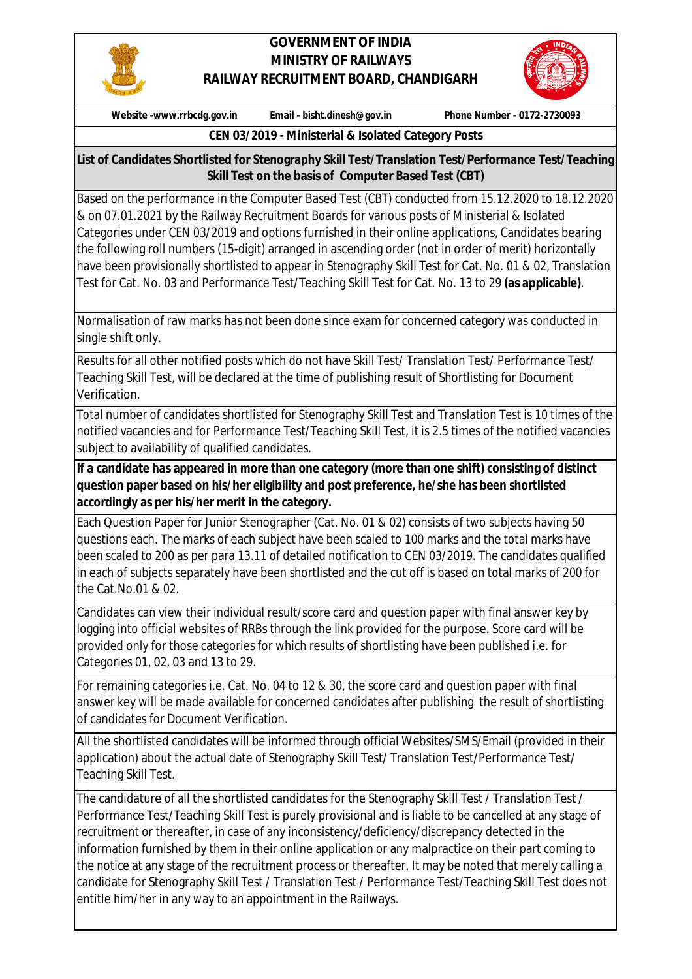

## **GOVERNMENT OF INDIA MINISTRY OF RAILWAYS RAILWAY RECRUITMENT BOARD, CHANDIGARH**



**Website -www.rrbcdg.gov.in Email - bisht.dinesh@gov.in Phone Number - 0172-2730093**

## **CEN 03/2019 - Ministerial & Isolated Category Posts**

## **List of Candidates Shortlisted for Stenography Skill Test/Translation Test/Performance Test/Teaching Skill Test on the basis of Computer Based Test (CBT)**

Based on the performance in the Computer Based Test (CBT) conducted from 15.12.2020 to 18.12.2020 & on 07.01.2021 by the Railway Recruitment Boards for various posts of Ministerial & Isolated Categories under CEN 03/2019 and options furnished in their online applications, Candidates bearing the following roll numbers (15-digit) arranged in ascending order (not in order of merit) horizontally have been provisionally shortlisted to appear in Stenography Skill Test for Cat. No. 01 & 02, Translation Test for Cat. No. 03 and Performance Test/Teaching Skill Test for Cat. No. 13 to 29 **(as applicable)**.

Normalisation of raw marks has not been done since exam for concerned category was conducted in single shift only.

Results for all other notified posts which do not have Skill Test/ Translation Test/ Performance Test/ Teaching Skill Test, will be declared at the time of publishing result of Shortlisting for Document Verification.

Total number of candidates shortlisted for Stenography Skill Test and Translation Test is 10 times of the notified vacancies and for Performance Test/Teaching Skill Test, it is 2.5 times of the notified vacancies subject to availability of qualified candidates.

**If a candidate has appeared in more than one category (more than one shift) consisting of distinct question paper based on his/her eligibility and post preference, he/she has been shortlisted accordingly as per his/her merit in the category.**

Each Question Paper for Junior Stenographer (Cat. No. 01 & 02) consists of two subjects having 50 questions each. The marks of each subject have been scaled to 100 marks and the total marks have been scaled to 200 as per para 13.11 of detailed notification to CEN 03/2019. The candidates qualified in each of subjects separately have been shortlisted and the cut off is based on total marks of 200 for the Cat.No.01 & 02.

Candidates can view their individual result/score card and question paper with final answer key by logging into official websites of RRBs through the link provided for the purpose. Score card will be provided only for those categories for which results of shortlisting have been published i.e. for Categories 01, 02, 03 and 13 to 29.

For remaining categories i.e. Cat. No. 04 to 12 & 30, the score card and question paper with final answer key will be made available for concerned candidates after publishing the result of shortlisting of candidates for Document Verification.

All the shortlisted candidates will be informed through official Websites/SMS/Email (provided in their application) about the actual date of Stenography Skill Test/ Translation Test/Performance Test/ Teaching Skill Test.

The candidature of all the shortlisted candidates for the Stenography Skill Test / Translation Test / Performance Test/Teaching Skill Test is purely provisional and is liable to be cancelled at any stage of recruitment or thereafter, in case of any inconsistency/deficiency/discrepancy detected in the information furnished by them in their online application or any malpractice on their part coming to the notice at any stage of the recruitment process or thereafter. It may be noted that merely calling a candidate for Stenography Skill Test / Translation Test / Performance Test/Teaching Skill Test does not entitle him/her in any way to an appointment in the Railways.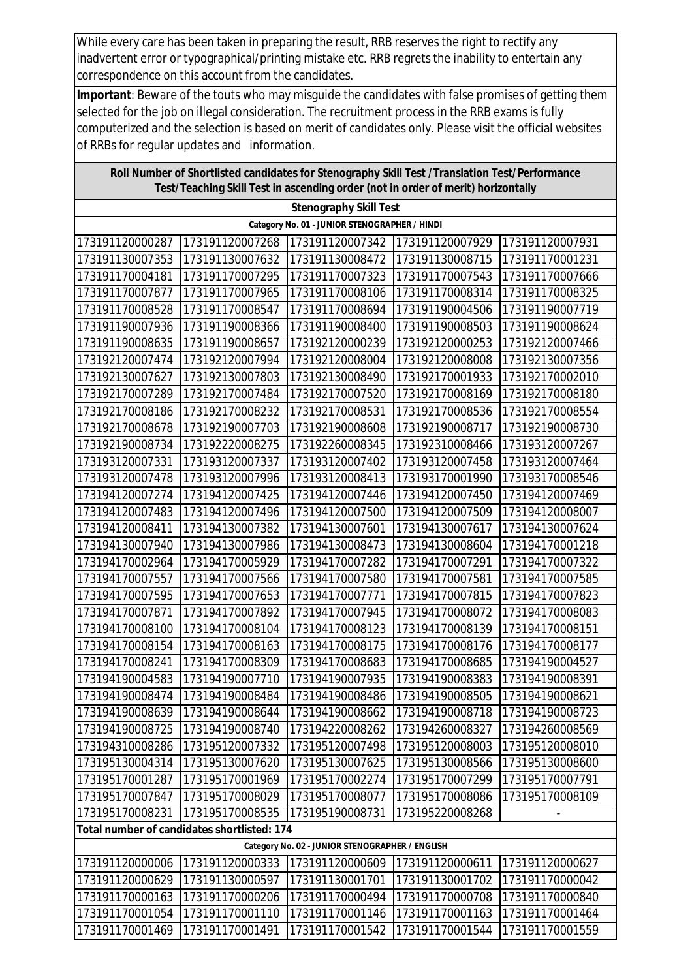While every care has been taken in preparing the result, RRB reserves the right to rectify any inadvertent error or typographical/printing mistake etc. RRB regrets the inability to entertain any correspondence on this account from the candidates.

**Important**: Beware of the touts who may misguide the candidates with false promises of getting them selected for the job on illegal consideration. The recruitment process in the RRB exams is fully computerized and the selection is based on merit of candidates only. Please visit the official websites of RRBs for regular updates and information.

**Roll Number of Shortlisted candidates for Stenography Skill Test /Translation Test/Performance** 

| Test/Teaching Skill Test in ascending order (not in order of merit) horizontally |                 |                 |                 |                 |  |  |  |
|----------------------------------------------------------------------------------|-----------------|-----------------|-----------------|-----------------|--|--|--|
| <b>Stenography Skill Test</b>                                                    |                 |                 |                 |                 |  |  |  |
| Category No. 01 - JUNIOR STENOGRAPHER / HINDI                                    |                 |                 |                 |                 |  |  |  |
| 173191120000287                                                                  | 173191120007268 | 173191120007342 | 173191120007929 | 173191120007931 |  |  |  |
| 173191130007353                                                                  | 173191130007632 | 173191130008472 | 173191130008715 | 173191170001231 |  |  |  |
| 173191170004181                                                                  | 173191170007295 | 173191170007323 | 173191170007543 | 173191170007666 |  |  |  |
| 173191170007877                                                                  | 173191170007965 | 173191170008106 | 173191170008314 | 173191170008325 |  |  |  |
| 173191170008528                                                                  | 173191170008547 | 173191170008694 | 173191190004506 | 173191190007719 |  |  |  |
| 173191190007936                                                                  | 173191190008366 | 173191190008400 | 173191190008503 | 173191190008624 |  |  |  |
| 173191190008635                                                                  | 173191190008657 | 173192120000239 | 173192120000253 | 173192120007466 |  |  |  |
| 173192120007474                                                                  | 173192120007994 | 173192120008004 | 173192120008008 | 173192130007356 |  |  |  |
| 173192130007627                                                                  | 173192130007803 | 173192130008490 | 173192170001933 | 173192170002010 |  |  |  |
| 173192170007289                                                                  | 173192170007484 | 173192170007520 | 173192170008169 | 173192170008180 |  |  |  |
| 173192170008186                                                                  | 173192170008232 | 173192170008531 | 173192170008536 | 173192170008554 |  |  |  |
| 173192170008678                                                                  | 173192190007703 | 173192190008608 | 173192190008717 | 173192190008730 |  |  |  |
| 173192190008734                                                                  | 173192220008275 | 173192260008345 | 173192310008466 | 173193120007267 |  |  |  |
| 173193120007331                                                                  | 173193120007337 | 173193120007402 | 173193120007458 | 173193120007464 |  |  |  |
| 173193120007478                                                                  | 173193120007996 | 173193120008413 | 173193170001990 | 173193170008546 |  |  |  |
| 173194120007274                                                                  | 173194120007425 | 173194120007446 | 173194120007450 | 173194120007469 |  |  |  |
| 173194120007483                                                                  | 173194120007496 | 173194120007500 | 173194120007509 | 173194120008007 |  |  |  |
| 173194120008411                                                                  | 173194130007382 | 173194130007601 | 173194130007617 | 173194130007624 |  |  |  |
| 173194130007940                                                                  | 173194130007986 | 173194130008473 | 173194130008604 | 173194170001218 |  |  |  |
| 173194170002964                                                                  | 173194170005929 | 173194170007282 | 173194170007291 | 173194170007322 |  |  |  |
| 173194170007557                                                                  | 173194170007566 | 173194170007580 | 173194170007581 | 173194170007585 |  |  |  |
| 173194170007595                                                                  | 173194170007653 | 173194170007771 | 173194170007815 | 173194170007823 |  |  |  |
| 173194170007871                                                                  | 173194170007892 | 173194170007945 | 173194170008072 | 173194170008083 |  |  |  |
| 173194170008100                                                                  | 173194170008104 | 173194170008123 | 173194170008139 | 173194170008151 |  |  |  |
| 173194170008154                                                                  | 173194170008163 | 173194170008175 | 173194170008176 | 173194170008177 |  |  |  |
| 173194170008241                                                                  | 173194170008309 | 173194170008683 | 173194170008685 | 173194190004527 |  |  |  |
| 173194190004583                                                                  | 173194190007710 | 173194190007935 | 173194190008383 | 173194190008391 |  |  |  |
| 173194190008474                                                                  | 173194190008484 | 173194190008486 | 173194190008505 | 173194190008621 |  |  |  |
| 173194190008639                                                                  | 173194190008644 | 173194190008662 | 173194190008718 | 173194190008723 |  |  |  |
| 173194190008725                                                                  | 173194190008740 | 173194220008262 | 173194260008327 | 173194260008569 |  |  |  |
| 173194310008286                                                                  | 173195120007332 | 173195120007498 | 173195120008003 | 173195120008010 |  |  |  |
| 173195130004314                                                                  | 173195130007620 | 173195130007625 | 173195130008566 | 173195130008600 |  |  |  |
| 173195170001287                                                                  | 173195170001969 | 173195170002274 | 173195170007299 | 173195170007791 |  |  |  |
| 173195170007847                                                                  | 173195170008029 | 173195170008077 | 173195170008086 | 173195170008109 |  |  |  |
| 173195170008231                                                                  | 173195170008535 | 173195190008731 | 173195220008268 |                 |  |  |  |
| Total number of candidates shortlisted: 174                                      |                 |                 |                 |                 |  |  |  |
| Category No. 02 - JUNIOR STENOGRAPHER / ENGLISH                                  |                 |                 |                 |                 |  |  |  |
| 173191120000006                                                                  | 173191120000333 | 173191120000609 | 173191120000611 | 173191120000627 |  |  |  |
| 173191120000629                                                                  | 173191130000597 | 173191130001701 | 173191130001702 | 173191170000042 |  |  |  |
| 173191170000163                                                                  | 173191170000206 | 173191170000494 | 173191170000708 | 173191170000840 |  |  |  |
| 173191170001054                                                                  | 173191170001110 | 173191170001146 | 173191170001163 | 173191170001464 |  |  |  |
| 173191170001469                                                                  | 173191170001491 | 173191170001542 | 173191170001544 | 173191170001559 |  |  |  |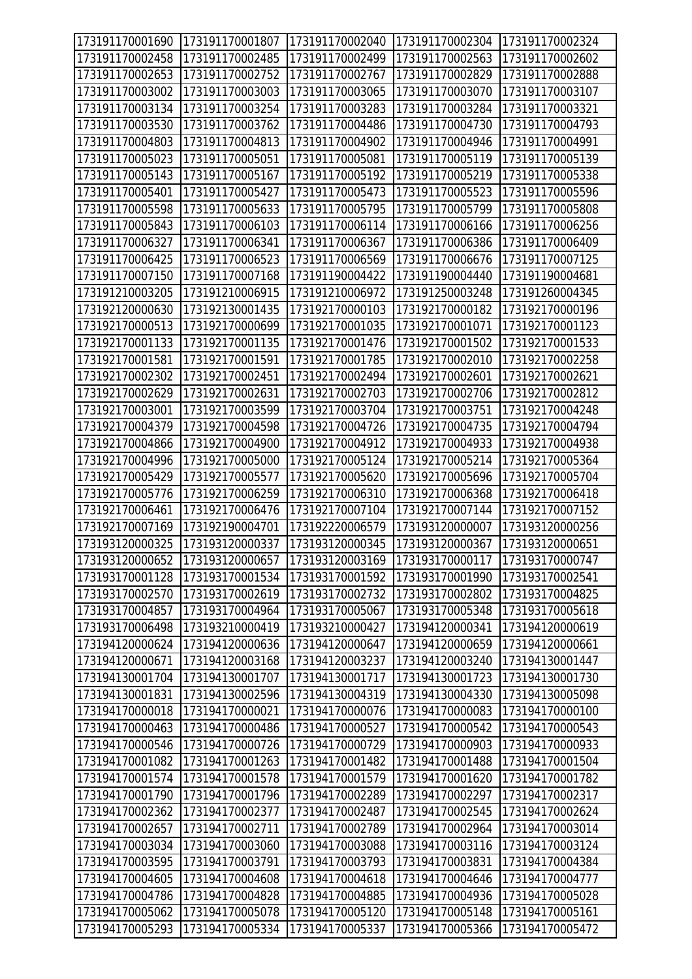| 173191170001690                                                                                                                                                                                                                                                                                                                                                                                             | 173191170001807                                                                                                                                                                                                                                                                                                                                                                                                                | 173191170002040                                                                                                                                                                                                                                                                                                                                                                                                                | 173191170002304                                                                                                                                                                                                                                                                                                                                                                                                                | 173191170002324                                                                                                                                                                                                                                                                                                                                                                                                                |
|-------------------------------------------------------------------------------------------------------------------------------------------------------------------------------------------------------------------------------------------------------------------------------------------------------------------------------------------------------------------------------------------------------------|--------------------------------------------------------------------------------------------------------------------------------------------------------------------------------------------------------------------------------------------------------------------------------------------------------------------------------------------------------------------------------------------------------------------------------|--------------------------------------------------------------------------------------------------------------------------------------------------------------------------------------------------------------------------------------------------------------------------------------------------------------------------------------------------------------------------------------------------------------------------------|--------------------------------------------------------------------------------------------------------------------------------------------------------------------------------------------------------------------------------------------------------------------------------------------------------------------------------------------------------------------------------------------------------------------------------|--------------------------------------------------------------------------------------------------------------------------------------------------------------------------------------------------------------------------------------------------------------------------------------------------------------------------------------------------------------------------------------------------------------------------------|
| 173191170002458                                                                                                                                                                                                                                                                                                                                                                                             | 173191170002485                                                                                                                                                                                                                                                                                                                                                                                                                | 173191170002499                                                                                                                                                                                                                                                                                                                                                                                                                | 173191170002563                                                                                                                                                                                                                                                                                                                                                                                                                | 173191170002602                                                                                                                                                                                                                                                                                                                                                                                                                |
| 173191170002653                                                                                                                                                                                                                                                                                                                                                                                             | 173191170002752                                                                                                                                                                                                                                                                                                                                                                                                                | 173191170002767                                                                                                                                                                                                                                                                                                                                                                                                                | 173191170002829                                                                                                                                                                                                                                                                                                                                                                                                                | 173191170002888                                                                                                                                                                                                                                                                                                                                                                                                                |
| 173191170003002                                                                                                                                                                                                                                                                                                                                                                                             | 173191170003003                                                                                                                                                                                                                                                                                                                                                                                                                | 173191170003065                                                                                                                                                                                                                                                                                                                                                                                                                | 173191170003070                                                                                                                                                                                                                                                                                                                                                                                                                | 173191170003107                                                                                                                                                                                                                                                                                                                                                                                                                |
| 173191170003134                                                                                                                                                                                                                                                                                                                                                                                             | 173191170003254                                                                                                                                                                                                                                                                                                                                                                                                                | 173191170003283                                                                                                                                                                                                                                                                                                                                                                                                                | 173191170003284                                                                                                                                                                                                                                                                                                                                                                                                                | 173191170003321                                                                                                                                                                                                                                                                                                                                                                                                                |
| 173191170003530                                                                                                                                                                                                                                                                                                                                                                                             | 173191170003762                                                                                                                                                                                                                                                                                                                                                                                                                | 173191170004486                                                                                                                                                                                                                                                                                                                                                                                                                | 173191170004730                                                                                                                                                                                                                                                                                                                                                                                                                | 173191170004793                                                                                                                                                                                                                                                                                                                                                                                                                |
| 173191170004803                                                                                                                                                                                                                                                                                                                                                                                             | 173191170004813                                                                                                                                                                                                                                                                                                                                                                                                                | 173191170004902                                                                                                                                                                                                                                                                                                                                                                                                                | 173191170004946                                                                                                                                                                                                                                                                                                                                                                                                                | 173191170004991                                                                                                                                                                                                                                                                                                                                                                                                                |
| 173191170005023                                                                                                                                                                                                                                                                                                                                                                                             | 173191170005051                                                                                                                                                                                                                                                                                                                                                                                                                | 173191170005081                                                                                                                                                                                                                                                                                                                                                                                                                | 173191170005119                                                                                                                                                                                                                                                                                                                                                                                                                | 173191170005139                                                                                                                                                                                                                                                                                                                                                                                                                |
| 173191170005143                                                                                                                                                                                                                                                                                                                                                                                             | 173191170005167                                                                                                                                                                                                                                                                                                                                                                                                                | 173191170005192                                                                                                                                                                                                                                                                                                                                                                                                                | 173191170005219                                                                                                                                                                                                                                                                                                                                                                                                                | 173191170005338                                                                                                                                                                                                                                                                                                                                                                                                                |
| 173191170005401                                                                                                                                                                                                                                                                                                                                                                                             | 173191170005427                                                                                                                                                                                                                                                                                                                                                                                                                | 173191170005473                                                                                                                                                                                                                                                                                                                                                                                                                | 173191170005523                                                                                                                                                                                                                                                                                                                                                                                                                | 173191170005596                                                                                                                                                                                                                                                                                                                                                                                                                |
| 173191170005598                                                                                                                                                                                                                                                                                                                                                                                             | 173191170005633                                                                                                                                                                                                                                                                                                                                                                                                                | 173191170005795                                                                                                                                                                                                                                                                                                                                                                                                                | 173191170005799                                                                                                                                                                                                                                                                                                                                                                                                                | 173191170005808                                                                                                                                                                                                                                                                                                                                                                                                                |
| 173191170005843                                                                                                                                                                                                                                                                                                                                                                                             | 173191170006103                                                                                                                                                                                                                                                                                                                                                                                                                | 173191170006114                                                                                                                                                                                                                                                                                                                                                                                                                | 173191170006166                                                                                                                                                                                                                                                                                                                                                                                                                | 173191170006256                                                                                                                                                                                                                                                                                                                                                                                                                |
| 173191170006327                                                                                                                                                                                                                                                                                                                                                                                             | 173191170006341                                                                                                                                                                                                                                                                                                                                                                                                                | 173191170006367                                                                                                                                                                                                                                                                                                                                                                                                                | 173191170006386                                                                                                                                                                                                                                                                                                                                                                                                                | 173191170006409                                                                                                                                                                                                                                                                                                                                                                                                                |
| 173191170006425                                                                                                                                                                                                                                                                                                                                                                                             | 173191170006523                                                                                                                                                                                                                                                                                                                                                                                                                | 173191170006569                                                                                                                                                                                                                                                                                                                                                                                                                | 173191170006676                                                                                                                                                                                                                                                                                                                                                                                                                | 173191170007125                                                                                                                                                                                                                                                                                                                                                                                                                |
| 173191170007150                                                                                                                                                                                                                                                                                                                                                                                             | 173191170007168                                                                                                                                                                                                                                                                                                                                                                                                                | 173191190004422                                                                                                                                                                                                                                                                                                                                                                                                                | 173191190004440                                                                                                                                                                                                                                                                                                                                                                                                                | 173191190004681                                                                                                                                                                                                                                                                                                                                                                                                                |
| 173191210003205                                                                                                                                                                                                                                                                                                                                                                                             | 173191210006915                                                                                                                                                                                                                                                                                                                                                                                                                | 173191210006972                                                                                                                                                                                                                                                                                                                                                                                                                | 173191250003248                                                                                                                                                                                                                                                                                                                                                                                                                | 173191260004345                                                                                                                                                                                                                                                                                                                                                                                                                |
| 173192120000630                                                                                                                                                                                                                                                                                                                                                                                             | 173192130001435                                                                                                                                                                                                                                                                                                                                                                                                                | 173192170000103                                                                                                                                                                                                                                                                                                                                                                                                                | 173192170000182                                                                                                                                                                                                                                                                                                                                                                                                                | 173192170000196                                                                                                                                                                                                                                                                                                                                                                                                                |
| 173192170000513                                                                                                                                                                                                                                                                                                                                                                                             | 173192170000699                                                                                                                                                                                                                                                                                                                                                                                                                | 173192170001035                                                                                                                                                                                                                                                                                                                                                                                                                | 173192170001071                                                                                                                                                                                                                                                                                                                                                                                                                | 173192170001123                                                                                                                                                                                                                                                                                                                                                                                                                |
| 173192170001133                                                                                                                                                                                                                                                                                                                                                                                             | 173192170001135                                                                                                                                                                                                                                                                                                                                                                                                                | 173192170001476                                                                                                                                                                                                                                                                                                                                                                                                                | 173192170001502                                                                                                                                                                                                                                                                                                                                                                                                                | 173192170001533                                                                                                                                                                                                                                                                                                                                                                                                                |
| 173192170001581                                                                                                                                                                                                                                                                                                                                                                                             | 173192170001591                                                                                                                                                                                                                                                                                                                                                                                                                | 173192170001785                                                                                                                                                                                                                                                                                                                                                                                                                | 173192170002010                                                                                                                                                                                                                                                                                                                                                                                                                | 173192170002258                                                                                                                                                                                                                                                                                                                                                                                                                |
| 173192170002302                                                                                                                                                                                                                                                                                                                                                                                             | 173192170002451                                                                                                                                                                                                                                                                                                                                                                                                                | 173192170002494                                                                                                                                                                                                                                                                                                                                                                                                                | 173192170002601                                                                                                                                                                                                                                                                                                                                                                                                                | 173192170002621                                                                                                                                                                                                                                                                                                                                                                                                                |
| 173192170002629                                                                                                                                                                                                                                                                                                                                                                                             | 173192170002631                                                                                                                                                                                                                                                                                                                                                                                                                | 173192170002703                                                                                                                                                                                                                                                                                                                                                                                                                | 173192170002706                                                                                                                                                                                                                                                                                                                                                                                                                | 173192170002812                                                                                                                                                                                                                                                                                                                                                                                                                |
| 173192170003001                                                                                                                                                                                                                                                                                                                                                                                             | 173192170003599                                                                                                                                                                                                                                                                                                                                                                                                                | 173192170003704                                                                                                                                                                                                                                                                                                                                                                                                                | 173192170003751                                                                                                                                                                                                                                                                                                                                                                                                                | 173192170004248                                                                                                                                                                                                                                                                                                                                                                                                                |
| 173192170004379                                                                                                                                                                                                                                                                                                                                                                                             | 173192170004598                                                                                                                                                                                                                                                                                                                                                                                                                | 173192170004726                                                                                                                                                                                                                                                                                                                                                                                                                | 173192170004735                                                                                                                                                                                                                                                                                                                                                                                                                | 173192170004794                                                                                                                                                                                                                                                                                                                                                                                                                |
| 173192170004866                                                                                                                                                                                                                                                                                                                                                                                             | 173192170004900                                                                                                                                                                                                                                                                                                                                                                                                                | 173192170004912                                                                                                                                                                                                                                                                                                                                                                                                                | 173192170004933                                                                                                                                                                                                                                                                                                                                                                                                                | 173192170004938                                                                                                                                                                                                                                                                                                                                                                                                                |
| 173192170004996                                                                                                                                                                                                                                                                                                                                                                                             | 173192170005000                                                                                                                                                                                                                                                                                                                                                                                                                | 173192170005124                                                                                                                                                                                                                                                                                                                                                                                                                | 173192170005214                                                                                                                                                                                                                                                                                                                                                                                                                | 173192170005364                                                                                                                                                                                                                                                                                                                                                                                                                |
| 173192170005429                                                                                                                                                                                                                                                                                                                                                                                             | 173192170005577                                                                                                                                                                                                                                                                                                                                                                                                                | 173192170005620                                                                                                                                                                                                                                                                                                                                                                                                                | 173192170005696                                                                                                                                                                                                                                                                                                                                                                                                                | 173192170005704                                                                                                                                                                                                                                                                                                                                                                                                                |
| 173192170005776                                                                                                                                                                                                                                                                                                                                                                                             | 173192170006259                                                                                                                                                                                                                                                                                                                                                                                                                | 173192170006310                                                                                                                                                                                                                                                                                                                                                                                                                | 173192170006368                                                                                                                                                                                                                                                                                                                                                                                                                | 173192170006418                                                                                                                                                                                                                                                                                                                                                                                                                |
| 173192170006461                                                                                                                                                                                                                                                                                                                                                                                             | 173192170006476                                                                                                                                                                                                                                                                                                                                                                                                                | 173192170007104                                                                                                                                                                                                                                                                                                                                                                                                                | 173192170007144                                                                                                                                                                                                                                                                                                                                                                                                                | 173192170007152                                                                                                                                                                                                                                                                                                                                                                                                                |
| 173192170007169                                                                                                                                                                                                                                                                                                                                                                                             | 173192190004701                                                                                                                                                                                                                                                                                                                                                                                                                | 173192220006579                                                                                                                                                                                                                                                                                                                                                                                                                | 173193120000007                                                                                                                                                                                                                                                                                                                                                                                                                | 173193120000256                                                                                                                                                                                                                                                                                                                                                                                                                |
| 173193120000325                                                                                                                                                                                                                                                                                                                                                                                             | 173193120000337                                                                                                                                                                                                                                                                                                                                                                                                                | 173193120000345                                                                                                                                                                                                                                                                                                                                                                                                                | 173193120000367                                                                                                                                                                                                                                                                                                                                                                                                                | 173193120000651                                                                                                                                                                                                                                                                                                                                                                                                                |
| 173193120000652                                                                                                                                                                                                                                                                                                                                                                                             | 173193120000657                                                                                                                                                                                                                                                                                                                                                                                                                | 173193120003169                                                                                                                                                                                                                                                                                                                                                                                                                | 173193170000117                                                                                                                                                                                                                                                                                                                                                                                                                | 173193170000747                                                                                                                                                                                                                                                                                                                                                                                                                |
|                                                                                                                                                                                                                                                                                                                                                                                                             |                                                                                                                                                                                                                                                                                                                                                                                                                                |                                                                                                                                                                                                                                                                                                                                                                                                                                |                                                                                                                                                                                                                                                                                                                                                                                                                                |                                                                                                                                                                                                                                                                                                                                                                                                                                |
|                                                                                                                                                                                                                                                                                                                                                                                                             |                                                                                                                                                                                                                                                                                                                                                                                                                                |                                                                                                                                                                                                                                                                                                                                                                                                                                |                                                                                                                                                                                                                                                                                                                                                                                                                                |                                                                                                                                                                                                                                                                                                                                                                                                                                |
|                                                                                                                                                                                                                                                                                                                                                                                                             |                                                                                                                                                                                                                                                                                                                                                                                                                                |                                                                                                                                                                                                                                                                                                                                                                                                                                |                                                                                                                                                                                                                                                                                                                                                                                                                                |                                                                                                                                                                                                                                                                                                                                                                                                                                |
|                                                                                                                                                                                                                                                                                                                                                                                                             |                                                                                                                                                                                                                                                                                                                                                                                                                                |                                                                                                                                                                                                                                                                                                                                                                                                                                |                                                                                                                                                                                                                                                                                                                                                                                                                                |                                                                                                                                                                                                                                                                                                                                                                                                                                |
|                                                                                                                                                                                                                                                                                                                                                                                                             |                                                                                                                                                                                                                                                                                                                                                                                                                                |                                                                                                                                                                                                                                                                                                                                                                                                                                |                                                                                                                                                                                                                                                                                                                                                                                                                                |                                                                                                                                                                                                                                                                                                                                                                                                                                |
|                                                                                                                                                                                                                                                                                                                                                                                                             |                                                                                                                                                                                                                                                                                                                                                                                                                                |                                                                                                                                                                                                                                                                                                                                                                                                                                |                                                                                                                                                                                                                                                                                                                                                                                                                                |                                                                                                                                                                                                                                                                                                                                                                                                                                |
|                                                                                                                                                                                                                                                                                                                                                                                                             |                                                                                                                                                                                                                                                                                                                                                                                                                                |                                                                                                                                                                                                                                                                                                                                                                                                                                |                                                                                                                                                                                                                                                                                                                                                                                                                                |                                                                                                                                                                                                                                                                                                                                                                                                                                |
|                                                                                                                                                                                                                                                                                                                                                                                                             |                                                                                                                                                                                                                                                                                                                                                                                                                                |                                                                                                                                                                                                                                                                                                                                                                                                                                |                                                                                                                                                                                                                                                                                                                                                                                                                                |                                                                                                                                                                                                                                                                                                                                                                                                                                |
|                                                                                                                                                                                                                                                                                                                                                                                                             |                                                                                                                                                                                                                                                                                                                                                                                                                                |                                                                                                                                                                                                                                                                                                                                                                                                                                |                                                                                                                                                                                                                                                                                                                                                                                                                                |                                                                                                                                                                                                                                                                                                                                                                                                                                |
|                                                                                                                                                                                                                                                                                                                                                                                                             |                                                                                                                                                                                                                                                                                                                                                                                                                                |                                                                                                                                                                                                                                                                                                                                                                                                                                |                                                                                                                                                                                                                                                                                                                                                                                                                                |                                                                                                                                                                                                                                                                                                                                                                                                                                |
|                                                                                                                                                                                                                                                                                                                                                                                                             |                                                                                                                                                                                                                                                                                                                                                                                                                                |                                                                                                                                                                                                                                                                                                                                                                                                                                |                                                                                                                                                                                                                                                                                                                                                                                                                                |                                                                                                                                                                                                                                                                                                                                                                                                                                |
|                                                                                                                                                                                                                                                                                                                                                                                                             |                                                                                                                                                                                                                                                                                                                                                                                                                                |                                                                                                                                                                                                                                                                                                                                                                                                                                |                                                                                                                                                                                                                                                                                                                                                                                                                                |                                                                                                                                                                                                                                                                                                                                                                                                                                |
|                                                                                                                                                                                                                                                                                                                                                                                                             |                                                                                                                                                                                                                                                                                                                                                                                                                                |                                                                                                                                                                                                                                                                                                                                                                                                                                |                                                                                                                                                                                                                                                                                                                                                                                                                                |                                                                                                                                                                                                                                                                                                                                                                                                                                |
|                                                                                                                                                                                                                                                                                                                                                                                                             |                                                                                                                                                                                                                                                                                                                                                                                                                                |                                                                                                                                                                                                                                                                                                                                                                                                                                |                                                                                                                                                                                                                                                                                                                                                                                                                                |                                                                                                                                                                                                                                                                                                                                                                                                                                |
|                                                                                                                                                                                                                                                                                                                                                                                                             |                                                                                                                                                                                                                                                                                                                                                                                                                                |                                                                                                                                                                                                                                                                                                                                                                                                                                |                                                                                                                                                                                                                                                                                                                                                                                                                                |                                                                                                                                                                                                                                                                                                                                                                                                                                |
|                                                                                                                                                                                                                                                                                                                                                                                                             |                                                                                                                                                                                                                                                                                                                                                                                                                                |                                                                                                                                                                                                                                                                                                                                                                                                                                |                                                                                                                                                                                                                                                                                                                                                                                                                                |                                                                                                                                                                                                                                                                                                                                                                                                                                |
|                                                                                                                                                                                                                                                                                                                                                                                                             |                                                                                                                                                                                                                                                                                                                                                                                                                                |                                                                                                                                                                                                                                                                                                                                                                                                                                |                                                                                                                                                                                                                                                                                                                                                                                                                                |                                                                                                                                                                                                                                                                                                                                                                                                                                |
|                                                                                                                                                                                                                                                                                                                                                                                                             |                                                                                                                                                                                                                                                                                                                                                                                                                                |                                                                                                                                                                                                                                                                                                                                                                                                                                |                                                                                                                                                                                                                                                                                                                                                                                                                                |                                                                                                                                                                                                                                                                                                                                                                                                                                |
|                                                                                                                                                                                                                                                                                                                                                                                                             |                                                                                                                                                                                                                                                                                                                                                                                                                                |                                                                                                                                                                                                                                                                                                                                                                                                                                |                                                                                                                                                                                                                                                                                                                                                                                                                                |                                                                                                                                                                                                                                                                                                                                                                                                                                |
|                                                                                                                                                                                                                                                                                                                                                                                                             |                                                                                                                                                                                                                                                                                                                                                                                                                                |                                                                                                                                                                                                                                                                                                                                                                                                                                |                                                                                                                                                                                                                                                                                                                                                                                                                                |                                                                                                                                                                                                                                                                                                                                                                                                                                |
| 173194170005293                                                                                                                                                                                                                                                                                                                                                                                             |                                                                                                                                                                                                                                                                                                                                                                                                                                |                                                                                                                                                                                                                                                                                                                                                                                                                                |                                                                                                                                                                                                                                                                                                                                                                                                                                |                                                                                                                                                                                                                                                                                                                                                                                                                                |
| 173193170001128<br>173193170002570<br>173193170004857<br>173193170006498<br>173194120000624<br>173194120000671<br>173194130001704<br>173194130001831<br>173194170000018<br>173194170000463<br>173194170000546<br>173194170001082<br>173194170001574<br>173194170001790<br>173194170002362<br>173194170002657<br>173194170003034<br>173194170003595<br>173194170004605<br>173194170004786<br>173194170005062 | 173193170001534<br>173193170002619<br>173193170004964<br>173193210000419<br>173194120000636<br>173194120003168<br>173194130001707<br>173194130002596<br>173194170000021<br>173194170000486<br>173194170000726<br>173194170001263<br>173194170001578<br>173194170001796<br>173194170002377<br>173194170002711<br>173194170003060<br>173194170003791<br>173194170004608<br>173194170004828<br>173194170005078<br>173194170005334 | 173193170001592<br>173193170002732<br>173193170005067<br>173193210000427<br>173194120000647<br>173194120003237<br>173194130001717<br>173194130004319<br>173194170000076<br>173194170000527<br>173194170000729<br>173194170001482<br>173194170001579<br>173194170002289<br>173194170002487<br>173194170002789<br>173194170003088<br>173194170003793<br>173194170004618<br>173194170004885<br>173194170005120<br>173194170005337 | 173193170001990<br>173193170002802<br>173193170005348<br>173194120000341<br>173194120000659<br>173194120003240<br>173194130001723<br>173194130004330<br>173194170000083<br>173194170000542<br>173194170000903<br>173194170001488<br>173194170001620<br>173194170002297<br>173194170002545<br>173194170002964<br>173194170003116<br>173194170003831<br>173194170004646<br>173194170004936<br>173194170005148<br>173194170005366 | 173193170002541<br>173193170004825<br>173193170005618<br>173194120000619<br>173194120000661<br>173194130001447<br>173194130001730<br>173194130005098<br>173194170000100<br>173194170000543<br>173194170000933<br>173194170001504<br>173194170001782<br>173194170002317<br>173194170002624<br>173194170003014<br>173194170003124<br>173194170004384<br>173194170004777<br>173194170005028<br>173194170005161<br>173194170005472 |